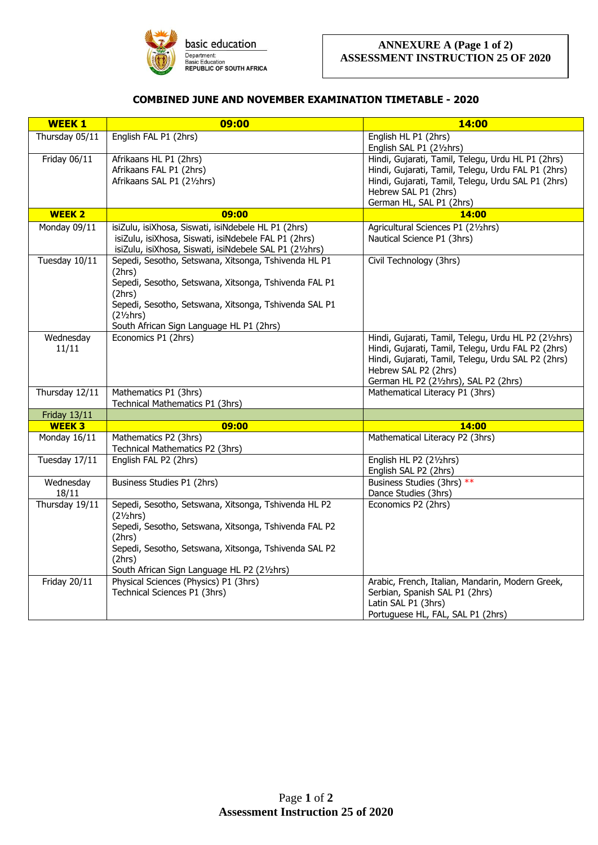

## **COMBINED JUNE AND NOVEMBER EXAMINATION TIMETABLE - 2020**

| <b>WEEK 1</b>       | 09:00                                                           | 14:00                                                |
|---------------------|-----------------------------------------------------------------|------------------------------------------------------|
| Thursday 05/11      | English FAL P1 (2hrs)                                           | English HL P1 (2hrs)                                 |
|                     |                                                                 | English SAL P1 (21/2hrs)                             |
| Friday 06/11        | Afrikaans HL P1 (2hrs)                                          | Hindi, Gujarati, Tamil, Telegu, Urdu HL P1 (2hrs)    |
|                     | Afrikaans FAL P1 (2hrs)                                         | Hindi, Gujarati, Tamil, Telegu, Urdu FAL P1 (2hrs)   |
|                     | Afrikaans SAL P1 (21/2hrs)                                      | Hindi, Gujarati, Tamil, Telegu, Urdu SAL P1 (2hrs)   |
|                     |                                                                 | Hebrew SAL P1 (2hrs)                                 |
|                     |                                                                 | German HL, SAL P1 (2hrs)                             |
| <b>WEEK 2</b>       | 09:00                                                           | 14:00                                                |
| Monday 09/11        | isiZulu, isiXhosa, Siswati, isiNdebele HL P1 (2hrs)             | Agricultural Sciences P1 (21/2hrs)                   |
|                     | isiZulu, isiXhosa, Siswati, isiNdebele FAL P1 (2hrs)            | Nautical Science P1 (3hrs)                           |
|                     | isiZulu, isiXhosa, Siswati, isiNdebele SAL P1 (21/2hrs)         |                                                      |
| Tuesday 10/11       | Sepedi, Sesotho, Setswana, Xitsonga, Tshivenda HL P1            | Civil Technology (3hrs)                              |
|                     | (2hrs)<br>Sepedi, Sesotho, Setswana, Xitsonga, Tshivenda FAL P1 |                                                      |
|                     | (2hrs)                                                          |                                                      |
|                     | Sepedi, Sesotho, Setswana, Xitsonga, Tshivenda SAL P1           |                                                      |
|                     | (2 <sup>1</sup> / <sub>2</sub> hrs)                             |                                                      |
|                     | South African Sign Language HL P1 (2hrs)                        |                                                      |
| Wednesday           | Economics P1 (2hrs)                                             | Hindi, Gujarati, Tamil, Telegu, Urdu HL P2 (21/2hrs) |
| 11/11               |                                                                 | Hindi, Gujarati, Tamil, Telegu, Urdu FAL P2 (2hrs)   |
|                     |                                                                 | Hindi, Gujarati, Tamil, Telegu, Urdu SAL P2 (2hrs)   |
|                     |                                                                 | Hebrew SAL P2 (2hrs)                                 |
|                     |                                                                 | German HL P2 (21/2hrs), SAL P2 (2hrs)                |
| Thursday 12/11      | Mathematics P1 (3hrs)                                           | Mathematical Literacy P1 (3hrs)                      |
|                     | Technical Mathematics P1 (3hrs)                                 |                                                      |
| <b>Friday 13/11</b> |                                                                 |                                                      |
| <b>WEEK3</b>        | 09:00<br>Mathematics P2 (3hrs)                                  | 14:00<br>Mathematical Literacy P2 (3hrs)             |
| Monday 16/11        | Technical Mathematics P2 (3hrs)                                 |                                                      |
| Tuesday 17/11       | English FAL P2 (2hrs)                                           | English HL P2 (21/2hrs)                              |
|                     |                                                                 | English SAL P2 (2hrs)                                |
| Wednesday           | Business Studies P1 (2hrs)                                      | Business Studies (3hrs) **                           |
| 18/11               |                                                                 | Dance Studies (3hrs)                                 |
| Thursday 19/11      | Sepedi, Sesotho, Setswana, Xitsonga, Tshivenda HL P2            | Economics P2 (2hrs)                                  |
|                     | (2 <sub>2</sub> hrs)                                            |                                                      |
|                     | Sepedi, Sesotho, Setswana, Xitsonga, Tshivenda FAL P2           |                                                      |
|                     | (2hrs)                                                          |                                                      |
|                     | Sepedi, Sesotho, Setswana, Xitsonga, Tshivenda SAL P2<br>(2hrs) |                                                      |
|                     | South African Sign Language HL P2 (21/2hrs)                     |                                                      |
| Friday 20/11        | Physical Sciences (Physics) P1 (3hrs)                           | Arabic, French, Italian, Mandarin, Modern Greek,     |
|                     | Technical Sciences P1 (3hrs)                                    | Serbian, Spanish SAL P1 (2hrs)                       |
|                     |                                                                 | Latin SAL P1 (3hrs)                                  |
|                     |                                                                 | Portuguese HL, FAL, SAL P1 (2hrs)                    |